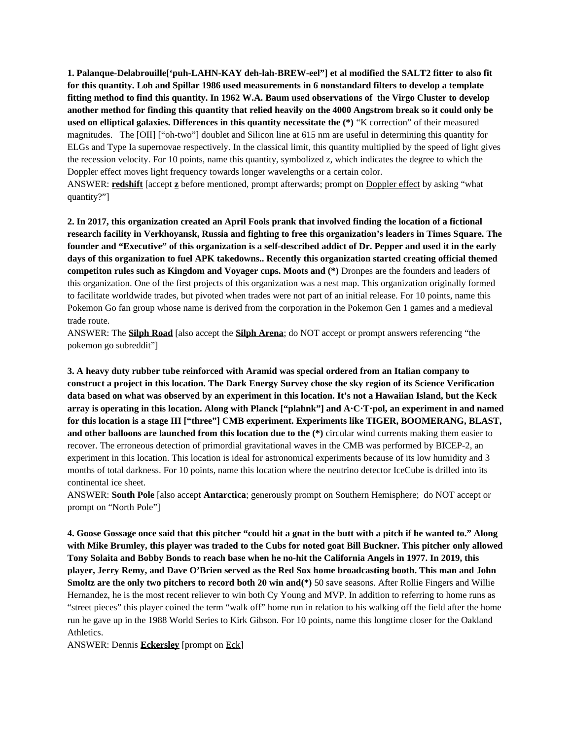**1. Palanque-Delabrouille['puh-LAHN-KAY deh-lah-BREW-eel"] et al modified the SALT2 fitter to also fit for this quantity. Loh and Spillar 1986 used measurements in 6 nonstandard filters to develop a template fitting method to find this quantity. In 1962 W.A. Baum used observations of the Virgo Cluster to develop another method for finding this quantity that relied heavily on the 4000 Angstrom break so it could only be used on elliptical galaxies. Differences in this quantity necessitate the (\*)** "K correction" of their measured magnitudes. The [OII] ["oh-two"] doublet and Silicon line at 615 nm are useful in determining this quantity for ELGs and Type Ia supernovae respectively. In the classical limit, this quantity multiplied by the speed of light gives the recession velocity. For 10 points, name this quantity, symbolized z, which indicates the degree to which the Doppler effect moves light frequency towards longer wavelengths or a certain color.

ANSWER: **redshift** [accept **z** before mentioned, prompt afterwards; prompt on Doppler effect by asking "what quantity?"]

**2. In 2017, this organization created an April Fools prank that involved finding the location of a fictional research facility in Verkhoyansk, Russia and fighting to free this organization's leaders in Times Square. The founder and "Executive" of this organization is a self-described addict of Dr. Pepper and used it in the early days of this organization to fuel APK takedowns.. Recently this organization started creating official themed competiton rules such as Kingdom and Voyager cups. Moots and (\*)** Dronpes are the founders and leaders of this organization. One of the first projects of this organization was a nest map. This organization originally formed to facilitate worldwide trades, but pivoted when trades were not part of an initial release. For 10 points, name this Pokemon Go fan group whose name is derived from the corporation in the Pokemon Gen 1 games and a medieval trade route.

ANSWER: The **Silph Road** [also accept the **Silph Arena**; do NOT accept or prompt answers referencing "the pokemon go subreddit"]

**3. A heavy duty rubber tube reinforced with Aramid was special ordered from an Italian company to construct a project in this location. The Dark Energy Survey chose the sky region of its Science Verification data based on what was observed by an experiment in this location. It's not a Hawaiian Island, but the Keck array is operating in this location. Along with Planck ["plahnk"] and A·C·T·pol, an experiment in and named for this location is a stage III ["three"] CMB experiment. Experiments like TIGER, BOOMERANG, BLAST, and other balloons are launched from this location due to the (\*)** circular wind currents making them easier to recover. The erroneous detection of primordial gravitational waves in the CMB was performed by BICEP-2, an experiment in this location. This location is ideal for astronomical experiments because of its low humidity and 3 months of total darkness. For 10 points, name this location where the neutrino detector IceCube is drilled into its continental ice sheet.

ANSWER: **South Pole** [also accept **Antarctica**; generously prompt on Southern Hemisphere; do NOT accept or prompt on "North Pole"]

**4. Goose Gossage once said that this pitcher "could hit a gnat in the butt with a pitch if he wanted to." Along with Mike Brumley, this player was traded to the Cubs for noted goat Bill Buckner. This pitcher only allowed Tony Solaita and Bobby Bonds to reach base when he no-hit the California Angels in 1977. In 2019, this player, Jerry Remy, and Dave O'Brien served as the Red Sox home broadcasting booth. This man and John Smoltz are the only two pitchers to record both 20 win and(\*)** 50 save seasons. After Rollie Fingers and Willie Hernandez, he is the most recent reliever to win both Cy Young and MVP. In addition to referring to home runs as "street pieces" this player coined the term "walk off" home run in relation to his walking off the field after the home run he gave up in the 1988 World Series to Kirk Gibson. For 10 points, name this longtime closer for the Oakland Athletics.

ANSWER: Dennis **Eckersley** [prompt on Eck]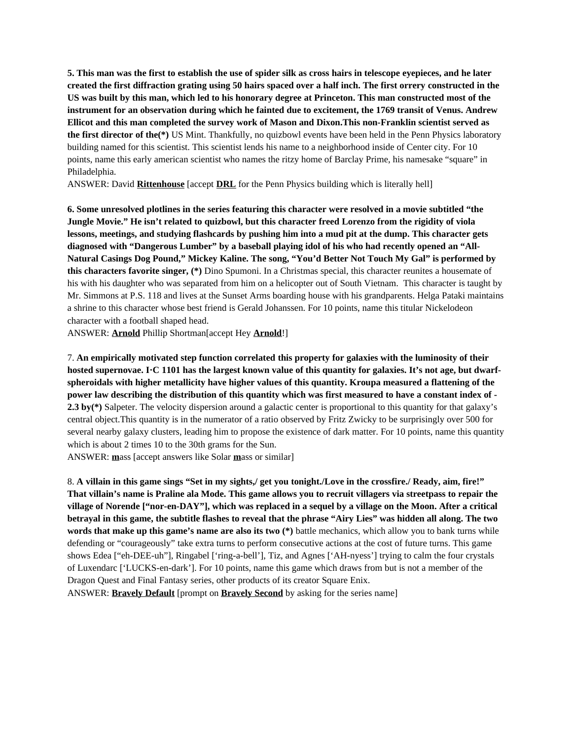**5. This man was the first to establish the use of spider silk as cross hairs in telescope eyepieces, and he later created the first diffraction grating using 50 hairs spaced over a half inch. The first orrery constructed in the US was built by this man, which led to his honorary degree at Princeton. This man constructed most of the instrument for an observation during which he fainted due to excitement, the 1769 transit of Venus. Andrew Ellicot and this man completed the survey work of Mason and Dixon.This non-Franklin scientist served as the first director of the(\*)** US Mint. Thankfully, no quizbowl events have been held in the Penn Physics laboratory building named for this scientist. This scientist lends his name to a neighborhood inside of Center city. For 10 points, name this early american scientist who names the ritzy home of Barclay Prime, his namesake "square" in Philadelphia.

ANSWER: David **Rittenhouse** [accept **DRL** for the Penn Physics building which is literally hell]

**6. Some unresolved plotlines in the series featuring this character were resolved in a movie subtitled "the Jungle Movie." He isn't related to quizbowl, but this character freed Lorenzo from the rigidity of viola lessons, meetings, and studying flashcards by pushing him into a mud pit at the dump. This character gets diagnosed with "Dangerous Lumber" by a baseball playing idol of his who had recently opened an "All-Natural Casings Dog Pound," Mickey Kaline. The song, "You'd Better Not Touch My Gal" is performed by this characters favorite singer, (\*)** Dino Spumoni. In a Christmas special, this character reunites a housemate of his with his daughter who was separated from him on a helicopter out of South Vietnam. This character is taught by Mr. Simmons at P.S. 118 and lives at the Sunset Arms boarding house with his grandparents. Helga Pataki maintains a shrine to this character whose best friend is Gerald Johanssen. For 10 points, name this titular Nickelodeon character with a football shaped head.

ANSWER: **Arnold** Phillip Shortman[accept Hey **Arnold**!]

7. **An empirically motivated step function correlated this property for galaxies with the luminosity of their hosted supernovae. I·C 1101 has the largest known value of this quantity for galaxies. It's not age, but dwarfspheroidals with higher metallicity have higher values of this quantity. Kroupa measured a flattening of the power law describing the distribution of this quantity which was first measured to have a constant index of - 2.3 by(\*)** Salpeter. The velocity dispersion around a galactic center is proportional to this quantity for that galaxy's central object.This quantity is in the numerator of a ratio observed by Fritz Zwicky to be surprisingly over 500 for several nearby galaxy clusters, leading him to propose the existence of dark matter. For 10 points, name this quantity which is about 2 times 10 to the 30th grams for the Sun.

ANSWER: **m**ass [accept answers like Solar **m**ass or similar]

8. **A villain in this game sings "Set in my sights,/ get you tonight./Love in the crossfire./ Ready, aim, fire!" That villain's name is Praline ala Mode. This game allows you to recruit villagers via streetpass to repair the village of Norende ["nor-en-DAY"], which was replaced in a sequel by a village on the Moon. After a critical betrayal in this game, the subtitle flashes to reveal that the phrase "Airy Lies" was hidden all along. The two words that make up this game's name are also its two (\*)** battle mechanics, which allow you to bank turns while defending or "courageously" take extra turns to perform consecutive actions at the cost of future turns. This game shows Edea ["eh-DEE-uh"], Ringabel ['ring-a-bell'], Tiz, and Agnes ['AH-nyess'] trying to calm the four crystals of Luxendarc ['LUCKS-en-dark']. For 10 points, name this game which draws from but is not a member of the Dragon Quest and Final Fantasy series, other products of its creator Square Enix.

ANSWER: **Bravely Default** [prompt on **Bravely Second** by asking for the series name]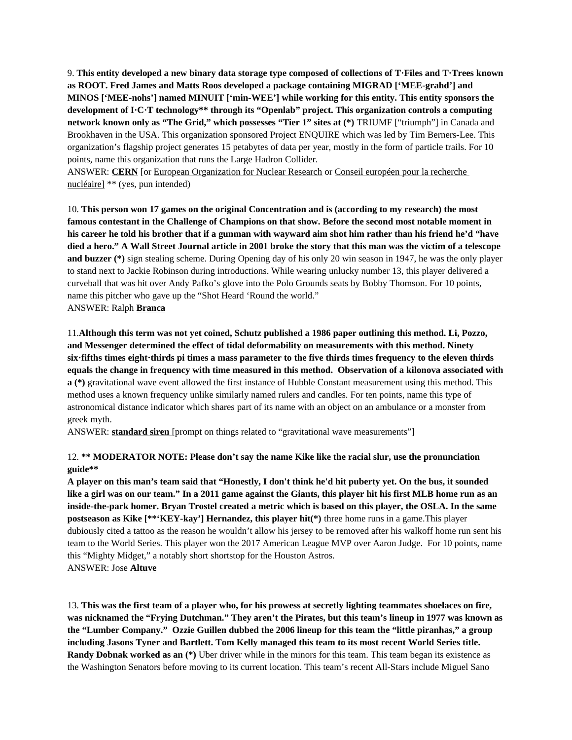9. **This entity developed a new binary data storage type composed of collections of T·Files and T·Trees known as ROOT. Fred James and Matts Roos developed a package containing MIGRAD ['MEE-grahd'] and MINOS ['MEE-nohs'] named MINUIT ['min-WEE'] while working for this entity. This entity sponsors the development of I·C·T technology\*\* through its "Openlab" project. This organization controls a computing network known only as "The Grid," which possesses "Tier 1" sites at (\*)** TRIUMF ["triumph"] in Canada and Brookhaven in the USA. This organization sponsored Project ENQUIRE which was led by Tim Berners-Lee. This organization's flagship project generates 15 petabytes of data per year, mostly in the form of particle trails. For 10 points, name this organization that runs the Large Hadron Collider.

ANSWER: **CERN** [or European Organization for Nuclear Research or Conseil européen pour la recherche nucléaire] \*\* (yes, pun intended)

10. **This person won 17 games on the original Concentration and is (according to my research) the most famous contestant in the Challenge of Champions on that show. Before the second most notable moment in his career he told his brother that if a gunman with wayward aim shot him rather than his friend he'd "have died a hero." A Wall Street Journal article in 2001 broke the story that this man was the victim of a telescope and buzzer (\*)** sign stealing scheme. During Opening day of his only 20 win season in 1947, he was the only player to stand next to Jackie Robinson during introductions. While wearing unlucky number 13, this player delivered a curveball that was hit over Andy Pafko's glove into the Polo Grounds seats by Bobby Thomson. For 10 points, name this pitcher who gave up the "Shot Heard 'Round the world." ANSWER: Ralph **Branca**

11.**Although this term was not yet coined, Schutz published a 1986 paper outlining this method. Li, Pozzo, and Messenger determined the effect of tidal deformability on measurements with this method. Ninety six·fifths times eight·thirds pi times a mass parameter to the five thirds times frequency to the eleven thirds equals the change in frequency with time measured in this method. Observation of a kilonova associated with a (\*)** gravitational wave event allowed the first instance of Hubble Constant measurement using this method. This method uses a known frequency unlike similarly named rulers and candles. For ten points, name this type of astronomical distance indicator which shares part of its name with an object on an ambulance or a monster from greek myth.

ANSWER: **standard siren** [prompt on things related to "gravitational wave measurements"]

## 12. **\*\* MODERATOR NOTE: Please don't say the name Kike like the racial slur, use the pronunciation guide\*\***

**A player on this man's team said that "Honestly, I don't think he'd hit puberty yet. On the bus, it sounded like a girl was on our team." In a 2011 game against the Giants, this player hit his first MLB home run as an inside-the-park homer. Bryan Trostel created a metric which is based on this player, the OSLA. In the same postseason as Kike [\*\*'KEY-kay'] Hernandez, this player hit(\*)** three home runs in a game.This player dubiously cited a tattoo as the reason he wouldn't allow his jersey to be removed after his walkoff home run sent his team to the World Series. This player won the 2017 American League MVP over Aaron Judge. For 10 points, name this "Mighty Midget," a notably short shortstop for the Houston Astros. ANSWER: Jose **Altuve**

13. **This was the first team of a player who, for his prowess at secretly lighting teammates shoelaces on fire, was nicknamed the "Frying Dutchman." They aren't the Pirates, but this team's lineup in 1977 was known as the "Lumber Company." Ozzie Guillen dubbed the 2006 lineup for this team the "little piranhas," a group including Jasons Tyner and Bartlett. Tom Kelly managed this team to its most recent World Series title. Randy Dobnak worked as an (\*)** Uber driver while in the minors for this team. This team began its existence as the Washington Senators before moving to its current location. This team's recent All-Stars include Miguel Sano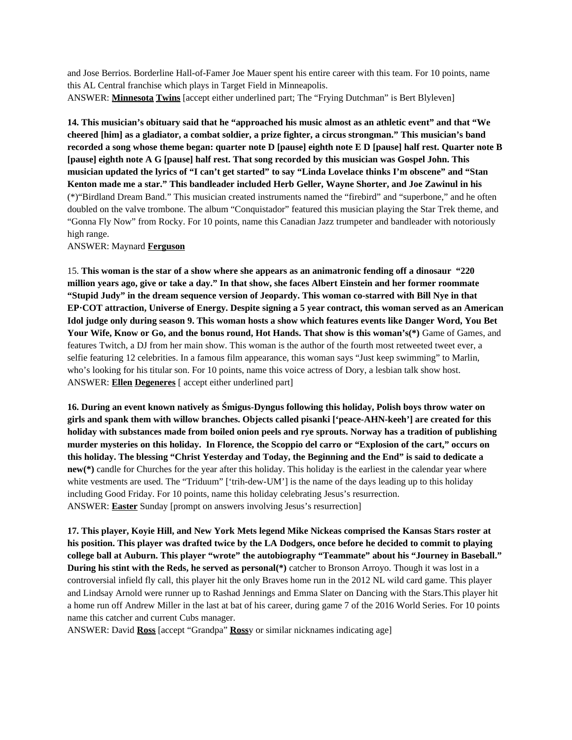and Jose Berrios. Borderline Hall-of-Famer Joe Mauer spent his entire career with this team. For 10 points, name this AL Central franchise which plays in Target Field in Minneapolis. ANSWER: **Minnesota Twins** [accept either underlined part; The "Frying Dutchman" is Bert Blyleven]

**14. This musician's obituary said that he "approached his music almost as an athletic event" and that "We cheered [him] as a gladiator, a combat soldier, a prize fighter, a circus strongman." This musician's band recorded a song whose theme began: quarter note D [pause] eighth note E D [pause] half rest. Quarter note B [pause] eighth note A G [pause] half rest. That song recorded by this musician was Gospel John. This musician updated the lyrics of "I can't get started" to say "Linda Lovelace thinks I'm obscene" and "Stan Kenton made me a star." This bandleader included Herb Geller, Wayne Shorter, and Joe Zawinul in his** (\*)"Birdland Dream Band." This musician created instruments named the "firebird" and "superbone," and he often doubled on the valve trombone. The album "Conquistador" featured this musician playing the Star Trek theme, and "Gonna Fly Now" from Rocky. For 10 points, name this Canadian Jazz trumpeter and bandleader with notoriously high range.

## ANSWER: Maynard **Ferguson**

15. **This woman is the star of a show where she appears as an animatronic fending off a dinosaur "220 million years ago, give or take a day." In that show, she faces Albert Einstein and her former roommate "Stupid Judy" in the dream sequence version of Jeopardy. This woman co-starred with Bill Nye in that EP·COT attraction, Universe of Energy. Despite signing a 5 year contract, this woman served as an American Idol judge only during season 9. This woman hosts a show which features events like Danger Word, You Bet Your Wife, Know or Go, and the bonus round, Hot Hands. That show is this woman's(\*)** Game of Games, and features Twitch, a DJ from her main show. This woman is the author of the fourth most retweeted tweet ever, a selfie featuring 12 celebrities. In a famous film appearance, this woman says "Just keep swimming" to Marlin, who's looking for his titular son. For 10 points, name this voice actress of Dory, a lesbian talk show host. ANSWER: **Ellen Degeneres** [ accept either underlined part]

**16. During an event known natively as Śmigus-Dyngus following this holiday, Polish boys throw water on girls and spank them with willow branches. Objects called pisanki ['peace-AHN-keeh'] are created for this holiday with substances made from boiled onion peels and rye sprouts. Norway has a tradition of publishing murder mysteries on this holiday. In Florence, the Scoppio del carro or "Explosion of the cart," occurs on this holiday. The blessing "Christ Yesterday and Today, the Beginning and the End" is said to dedicate a new(\*)** candle for Churches for the year after this holiday. This holiday is the earliest in the calendar year where white vestments are used. The "Triduum" ['trih-dew-UM'] is the name of the days leading up to this holiday including Good Friday. For 10 points, name this holiday celebrating Jesus's resurrection. ANSWER: **Easter** Sunday [prompt on answers involving Jesus's resurrection]

**17. This player, Koyie Hill, and New York Mets legend Mike Nickeas comprised the Kansas Stars roster at his position. This player was drafted twice by the LA Dodgers, once before he decided to commit to playing college ball at Auburn. This player "wrote" the autobiography "Teammate" about his "Journey in Baseball." During his stint with the Reds, he served as personal(\*)** catcher to Bronson Arroyo. Though it was lost in a controversial infield fly call, this player hit the only Braves home run in the 2012 NL wild card game. This player and Lindsay Arnold were runner up to Rashad Jennings and Emma Slater on Dancing with the Stars.This player hit a home run off Andrew Miller in the last at bat of his career, during game 7 of the 2016 World Series. For 10 points name this catcher and current Cubs manager.

ANSWER: David **Ross** [accept "Grandpa" **Ross**y or similar nicknames indicating age]